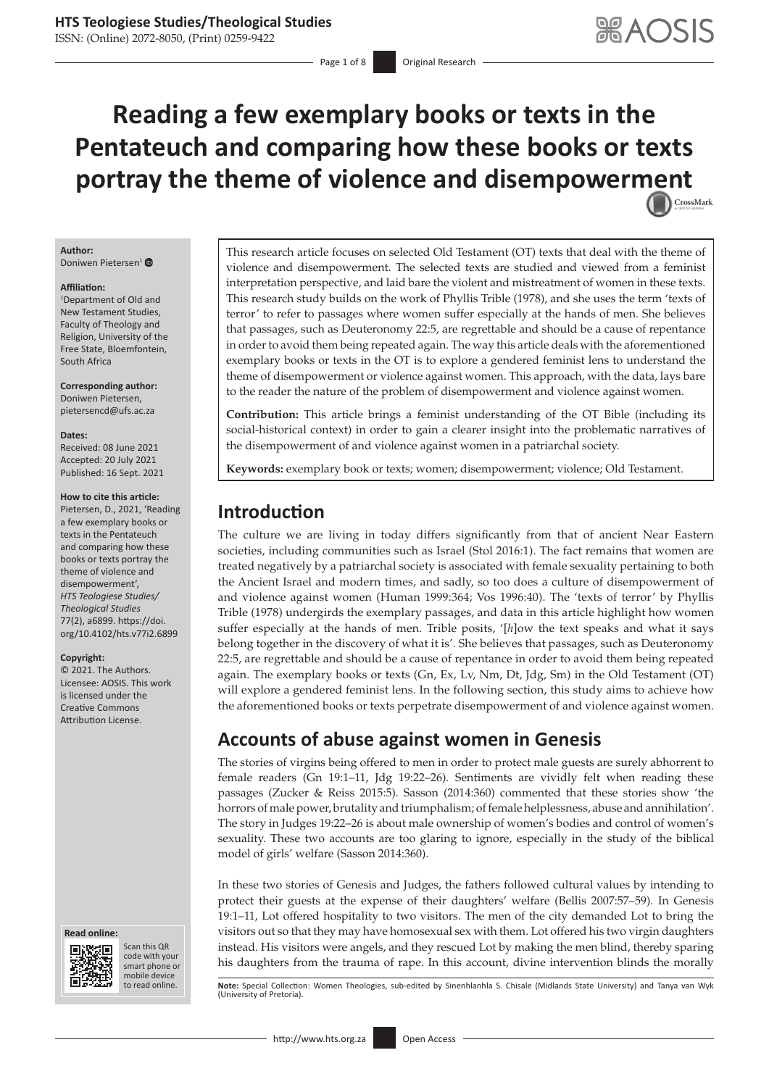ISSN: (Online) 2072-8050, (Print) 0259-9422

Page 1 of 8 **Original Research** 

# **Reading a few exemplary books or texts in the Pentateuch and comparing how these books or texts portray the theme of violence and disempower[ment](http://crossmark.crossref.org/dialog/?doi=10.4102/hts.v77i2.6899=pdf&date_stamp=2021-09-16)** CrossMark

#### **Author:** Doniwen Pietersen[1](https://orcid.org/0000-0002-3050-589X)

#### **Affiliation:**

1 Department of Old and New Testament Studies, Faculty of Theology and Religion, University of the Free State, Bloemfontein, South Africa

**Corresponding author:** Doniwen Pietersen, [pietersencd@ufs.ac.za](mailto:pietersencd@ufs.ac.za)

#### **Dates:**

Received: 08 June 2021 Accepted: 20 July 2021 Published: 16 Sept. 2021

#### **How to cite this article:**

Pietersen, D., 2021, 'Reading a few exemplary books or texts in the Pentateuch and comparing how these books or texts portray the theme of violence and disempowerment', *HTS Teologiese Studies/ Theological Studies* 77(2), a6899. [https://doi.](https://doi.org/10.4102/hts.v77i2.6899) [org/10.4102/hts.v77i2.6899](https://doi.org/10.4102/hts.v77i2.6899)

#### **Copyright:**

© 2021. The Authors. Licensee: AOSIS. This work is licensed under the Creative Commons Attribution License.





Scan this QR code with your Scan this QR<br>code with your<br>smart phone or<br>mobile device mobile device to read online.

This research article focuses on selected Old Testament (OT) texts that deal with the theme of violence and disempowerment. The selected texts are studied and viewed from a feminist interpretation perspective, and laid bare the violent and mistreatment of women in these texts. This research study builds on the work of Phyllis Trible (1978), and she uses the term 'texts of terror' to refer to passages where women suffer especially at the hands of men. She believes that passages, such as Deuteronomy 22:5, are regrettable and should be a cause of repentance in order to avoid them being repeated again. The way this article deals with the aforementioned exemplary books or texts in the OT is to explore a gendered feminist lens to understand the theme of disempowerment or violence against women. This approach, with the data, lays bare to the reader the nature of the problem of disempowerment and violence against women.

**Contribution:** This article brings a feminist understanding of the OT Bible (including its social-historical context) in order to gain a clearer insight into the problematic narratives of the disempowerment of and violence against women in a patriarchal society.

**Keywords:** exemplary book or texts; women; disempowerment; violence; Old Testament.

## **Introduction**

The culture we are living in today differs significantly from that of ancient Near Eastern societies, including communities such as Israel (Stol 2016:1). The fact remains that women are treated negatively by a patriarchal society is associated with female sexuality pertaining to both the Ancient Israel and modern times, and sadly, so too does a culture of disempowerment of and violence against women (Human 1999:364; Vos 1996:40). The 'texts of terror' by Phyllis Trible (1978) undergirds the exemplary passages, and data in this article highlight how women suffer especially at the hands of men. Trible posits, '[*h*]ow the text speaks and what it says belong together in the discovery of what it is'. She believes that passages, such as Deuteronomy 22:5, are regrettable and should be a cause of repentance in order to avoid them being repeated again. The exemplary books or texts (Gn, Ex, Lv, Nm, Dt, Jdg, Sm) in the Old Testament (OT) will explore a gendered feminist lens. In the following section, this study aims to achieve how the aforementioned books or texts perpetrate disempowerment of and violence against women.

## **Accounts of abuse against women in Genesis**

The stories of virgins being offered to men in order to protect male guests are surely abhorrent to female readers (Gn 19:1–11, Jdg 19:22–26). Sentiments are vividly felt when reading these passages (Zucker & Reiss 2015:5). Sasson (2014:360) commented that these stories show 'the horrors of male power, brutality and triumphalism; of female helplessness, abuse and annihilation'. The story in Judges 19:22–26 is about male ownership of women's bodies and control of women's sexuality. These two accounts are too glaring to ignore, especially in the study of the biblical model of girls' welfare (Sasson 2014:360).

In these two stories of Genesis and Judges, the fathers followed cultural values by intending to protect their guests at the expense of their daughters' welfare (Bellis 2007:57–59). In Genesis 19:1–11, Lot offered hospitality to two visitors. The men of the city demanded Lot to bring the visitors out so that they may have homosexual sex with them. Lot offered his two virgin daughters instead. His visitors were angels, and they rescued Lot by making the men blind, thereby sparing his daughters from the trauma of rape. In this account, divine intervention blinds the morally

Note: Special Collection: Women Theologies, sub-edited by Sinenhlanhla S. Chisale (Midlands State University) and Tanya van Wyk (University of Pretoria).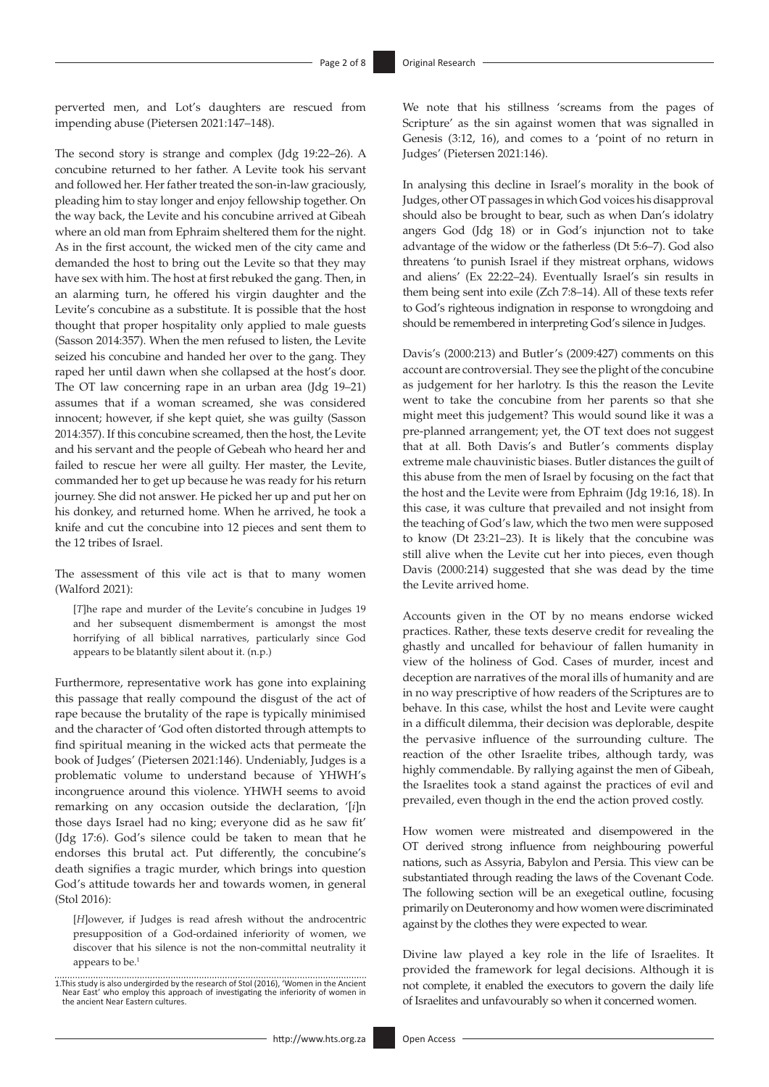perverted men, and Lot's daughters are rescued from impending abuse (Pietersen 2021:147–148).

The second story is strange and complex (Jdg 19:22–26). A concubine returned to her father. A Levite took his servant and followed her. Her father treated the son-in-law graciously, pleading him to stay longer and enjoy fellowship together. On the way back, the Levite and his concubine arrived at Gibeah where an old man from Ephraim sheltered them for the night. As in the first account, the wicked men of the city came and demanded the host to bring out the Levite so that they may have sex with him. The host at first rebuked the gang. Then, in an alarming turn, he offered his virgin daughter and the Levite's concubine as a substitute. It is possible that the host thought that proper hospitality only applied to male guests (Sasson 2014:357). When the men refused to listen, the Levite seized his concubine and handed her over to the gang. They raped her until dawn when she collapsed at the host's door. The OT law concerning rape in an urban area (Jdg 19–21) assumes that if a woman screamed, she was considered innocent; however, if she kept quiet, she was guilty (Sasson 2014:357). If this concubine screamed, then the host, the Levite and his servant and the people of Gebeah who heard her and failed to rescue her were all guilty. Her master, the Levite, commanded her to get up because he was ready for his return journey. She did not answer. He picked her up and put her on his donkey, and returned home. When he arrived, he took a knife and cut the concubine into 12 pieces and sent them to the 12 tribes of Israel.

The assessment of this vile act is that to many women (Walford 2021):

[*T*]he rape and murder of the Levite's concubine in Judges 19 and her subsequent dismemberment is amongst the most horrifying of all biblical narratives, particularly since God appears to be blatantly silent about it. (n.p.)

Furthermore, representative work has gone into explaining this passage that really compound the disgust of the act of rape because the brutality of the rape is typically minimised and the character of 'God often distorted through attempts to find spiritual meaning in the wicked acts that permeate the book of Judges' (Pietersen 2021:146). Undeniably, Judges is a problematic volume to understand because of YHWH's incongruence around this violence. YHWH seems to avoid remarking on any occasion outside the declaration, '[*i*]n those days Israel had no king; everyone did as he saw fit' (Jdg 17:6). God's silence could be taken to mean that he endorses this brutal act. Put differently, the concubine's death signifies a tragic murder, which brings into question God's attitude towards her and towards women, in general (Stol 2016):

[*H*]owever, if Judges is read afresh without the androcentric presupposition of a God-ordained inferiority of women, we discover that his silence is not the non-committal neutrality it appears to be.<sup>1</sup>

We note that his stillness 'screams from the pages of Scripture' as the sin against women that was signalled in Genesis (3:12, 16), and comes to a 'point of no return in Judges' (Pietersen 2021:146).

In analysing this decline in Israel's morality in the book of Judges, other OT passages in which God voices his disapproval should also be brought to bear, such as when Dan's idolatry angers God (Jdg 18) or in God's injunction not to take advantage of the widow or the fatherless (Dt 5:6–7). God also threatens 'to punish Israel if they mistreat orphans, widows and aliens' (Ex 22:22–24). Eventually Israel's sin results in them being sent into exile (Zch 7:8–14). All of these texts refer to God's righteous indignation in response to wrongdoing and should be remembered in interpreting God's silence in Judges.

Davis's (2000:213) and Butler's (2009:427) comments on this account are controversial. They see the plight of the concubine as judgement for her harlotry. Is this the reason the Levite went to take the concubine from her parents so that she might meet this judgement? This would sound like it was a pre-planned arrangement; yet, the OT text does not suggest that at all. Both Davis's and Butler's comments display extreme male chauvinistic biases. Butler distances the guilt of this abuse from the men of Israel by focusing on the fact that the host and the Levite were from Ephraim (Jdg 19:16, 18). In this case, it was culture that prevailed and not insight from the teaching of God's law, which the two men were supposed to know (Dt 23:21–23). It is likely that the concubine was still alive when the Levite cut her into pieces, even though Davis (2000:214) suggested that she was dead by the time the Levite arrived home.

Accounts given in the OT by no means endorse wicked practices. Rather, these texts deserve credit for revealing the ghastly and uncalled for behaviour of fallen humanity in view of the holiness of God. Cases of murder, incest and deception are narratives of the moral ills of humanity and are in no way prescriptive of how readers of the Scriptures are to behave. In this case, whilst the host and Levite were caught in a difficult dilemma, their decision was deplorable, despite the pervasive influence of the surrounding culture. The reaction of the other Israelite tribes, although tardy, was highly commendable. By rallying against the men of Gibeah, the Israelites took a stand against the practices of evil and prevailed, even though in the end the action proved costly.

How women were mistreated and disempowered in the OT derived strong influence from neighbouring powerful nations, such as Assyria, Babylon and Persia. This view can be substantiated through reading the laws of the Covenant Code. The following section will be an exegetical outline, focusing primarily on Deuteronomy and how women were discriminated against by the clothes they were expected to wear.

Divine law played a key role in the life of Israelites. It provided the framework for legal decisions. Although it is not complete, it enabled the executors to govern the daily life of Israelites and unfavourably so when it concerned women.

<sup>1.</sup>This study is also undergirded by the research of Stol (2016), 'Women in the Ancient Near East' who employ this approach of investigating the inferiority of women in the ancient Near Eastern cultures.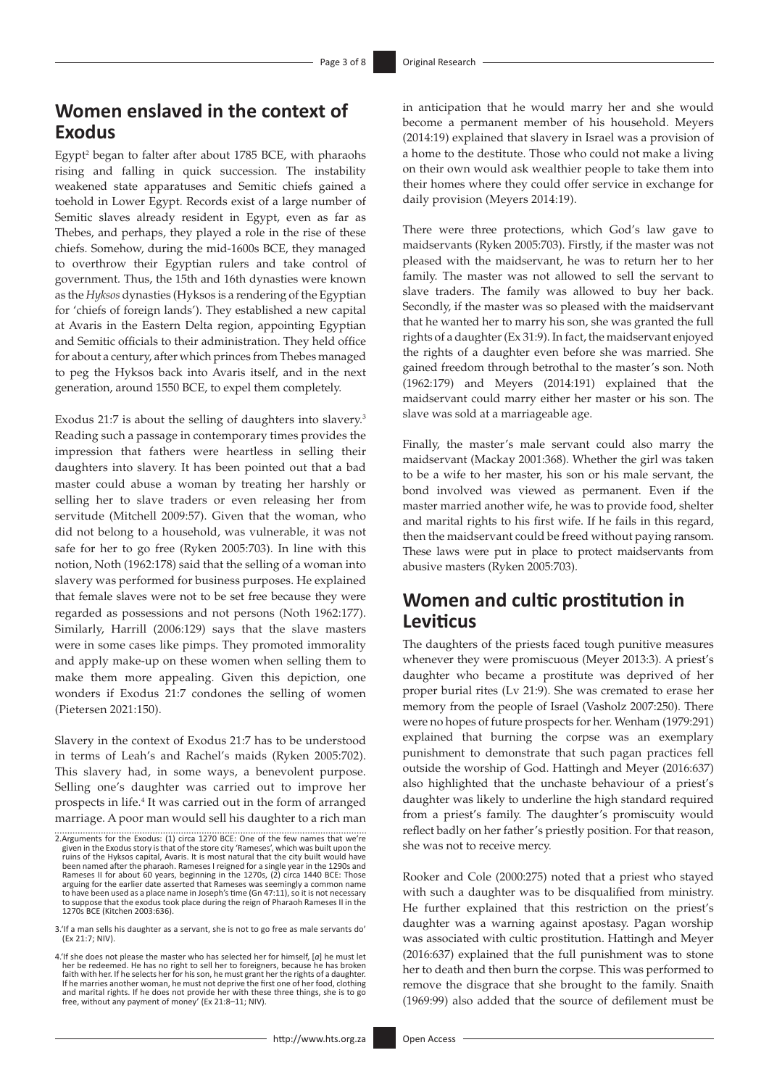### **Women enslaved in the context of Exodus**

Egypt<sup>2</sup> began to falter after about 1785 BCE, with pharaohs rising and falling in quick succession. The instability weakened state apparatuses and Semitic chiefs gained a toehold in Lower Egypt. Records exist of a large number of Semitic slaves already resident in Egypt, even as far as Thebes, and perhaps, they played a role in the rise of these chiefs. Somehow, during the mid-1600s BCE, they managed to overthrow their Egyptian rulers and take control of government. Thus, the 15th and 16th dynasties were known as the *Hyksos* dynasties (Hyksos is a rendering of the Egyptian for 'chiefs of foreign lands'). They established a new capital at Avaris in the Eastern Delta region, appointing Egyptian and Semitic officials to their administration. They held office for about a century, after which princes from Thebes managed to peg the Hyksos back into Avaris itself, and in the next generation, around 1550 BCE, to expel them completely.

Exodus 21:7 is about the selling of daughters into slavery.3 Reading such a passage in contemporary times provides the impression that fathers were heartless in selling their daughters into slavery. It has been pointed out that a bad master could abuse a woman by treating her harshly or selling her to slave traders or even releasing her from servitude (Mitchell 2009:57). Given that the woman, who did not belong to a household, was vulnerable, it was not safe for her to go free (Ryken 2005:703). In line with this notion, Noth (1962:178) said that the selling of a woman into slavery was performed for business purposes. He explained that female slaves were not to be set free because they were regarded as possessions and not persons (Noth 1962:177). Similarly, Harrill (2006:129) says that the slave masters were in some cases like pimps. They promoted immorality and apply make-up on these women when selling them to make them more appealing. Given this depiction, one wonders if Exodus 21:7 condones the selling of women (Pietersen 2021:150).

Slavery in the context of Exodus 21:7 has to be understood in terms of Leah's and Rachel's maids (Ryken 2005:702). This slavery had, in some ways, a benevolent purpose. Selling one's daughter was carried out to improve her prospects in life.4 It was carried out in the form of arranged marriage. A poor man would sell his daughter to a rich man

4.'If she does not please the master who has selected her for himself, [*a*] he must let her be redeemed. He has no right to sell her to foreigners, because he has broken<br>faith with her. If he selects her for his son, he must grant her the rights of a daughter.<br>If he marries another woman, he must not deprive in anticipation that he would marry her and she would become a permanent member of his household. Meyers (2014:19) explained that slavery in Israel was a provision of a home to the destitute. Those who could not make a living on their own would ask wealthier people to take them into their homes where they could offer service in exchange for daily provision (Meyers 2014:19).

There were three protections, which God's law gave to maidservants (Ryken 2005:703). Firstly, if the master was not pleased with the maidservant, he was to return her to her family. The master was not allowed to sell the servant to slave traders. The family was allowed to buy her back. Secondly, if the master was so pleased with the maidservant that he wanted her to marry his son, she was granted the full rights of a daughter (Ex 31:9). In fact, the maidservant enjoyed the rights of a daughter even before she was married. She gained freedom through betrothal to the master's son. Noth (1962:179) and Meyers (2014:191) explained that the maidservant could marry either her master or his son. The slave was sold at a marriageable age.

Finally, the master's male servant could also marry the maidservant (Mackay 2001:368). Whether the girl was taken to be a wife to her master, his son or his male servant, the bond involved was viewed as permanent. Even if the master married another wife, he was to provide food, shelter and marital rights to his first wife. If he fails in this regard, then the maidservant could be freed without paying ransom. These laws were put in place to protect maidservants from abusive masters (Ryken 2005:703).

### **Women and cultic prostitution in Leviticus**

The daughters of the priests faced tough punitive measures whenever they were promiscuous (Meyer 2013:3). A priest's daughter who became a prostitute was deprived of her proper burial rites (Lv 21:9). She was cremated to erase her memory from the people of Israel (Vasholz 2007:250). There were no hopes of future prospects for her. Wenham (1979:291) explained that burning the corpse was an exemplary punishment to demonstrate that such pagan practices fell outside the worship of God. Hattingh and Meyer (2016:637) also highlighted that the unchaste behaviour of a priest's daughter was likely to underline the high standard required from a priest's family. The daughter's promiscuity would reflect badly on her father's priestly position. For that reason, she was not to receive mercy.

Rooker and Cole (2000:275) noted that a priest who stayed with such a daughter was to be disqualified from ministry. He further explained that this restriction on the priest's daughter was a warning against apostasy. Pagan worship was associated with cultic prostitution. Hattingh and Meyer (2016:637) explained that the full punishment was to stone her to death and then burn the corpse. This was performed to remove the disgrace that she brought to the family. Snaith (1969:99) also added that the source of defilement must be

<sup>2.</sup>Arguments for the Exodus: (1) circa 1270 BCE: One of the few names that we're given in the Exodus story is that of the store city 'Rameses', which was built upon the ruins of the Hyksos capital, Avaris. It is most natural that the city built would have been named after the pharaoh. Rameses I reigned for a single year in the 1290s and Rameses II for about 60 years, beginning in the 1270s, (2) circa 1440 BCE: Those arguing for the earlier date asserted that Rameses was seemingly a common name to have been used as a place name in Joseph's time (Gn 47:11), so it is not necessary to suppose that the exodus took place during the reign of Pharaoh Rameses II in the 1270s BCE (Kitchen 2003:636).

<sup>3.&#</sup>x27;If a man sells his daughter as a servant, she is not to go free as male servants do' (Ex 21:7; NIV).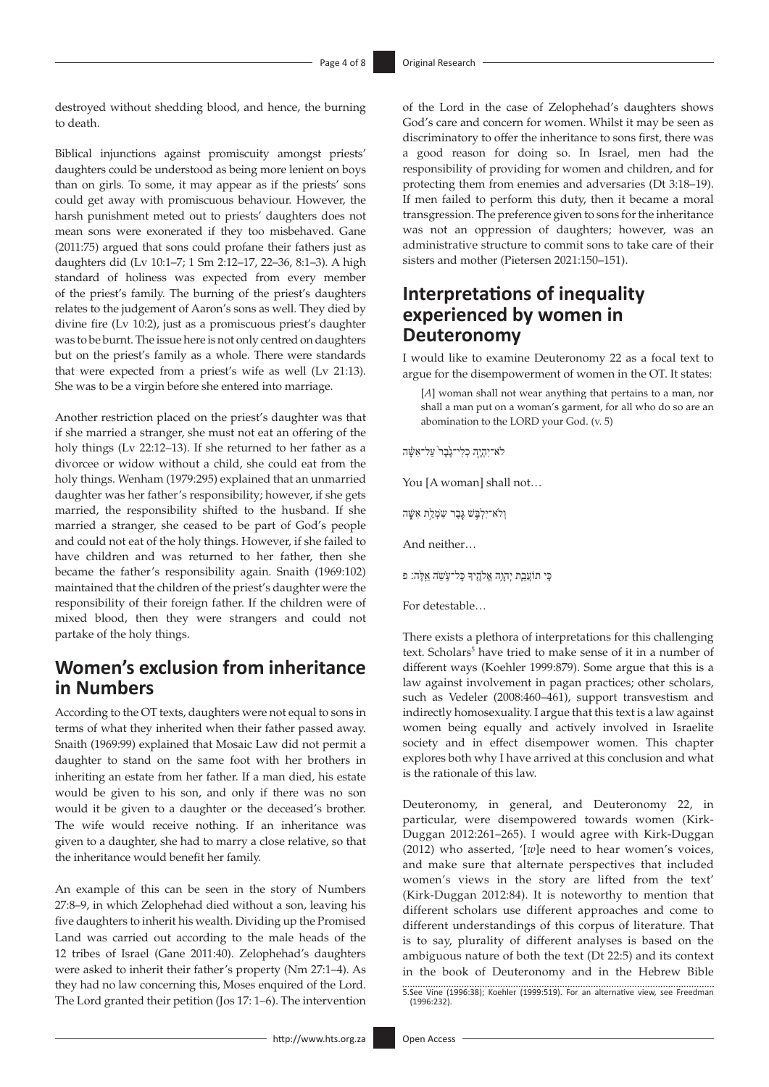destroyed without shedding blood, and hence, the burning to death.

Biblical injunctions against promiscuity amongst priests' daughters could be understood as being more lenient on boys than on girls. To some, it may appear as if the priests' sons could get away with promiscuous behaviour. However, the harsh punishment meted out to priests' daughters does not mean sons were exonerated if they too misbehaved. Gane (2011:75) argued that sons could profane their fathers just as daughters did (Lv 10:1–7; 1 Sm 2:12–17, 22–36, 8:1–3). A high standard of holiness was expected from every member of the priest's family. The burning of the priest's daughters relates to the judgement of Aaron's sons as well. They died by divine fire (Lv 10:2), just as a promiscuous priest's daughter was to be burnt. The issue here is not only centred on daughters but on the priest's family as a whole. There were standards that were expected from a priest's wife as well (Lv 21:13). She was to be a virgin before she entered into marriage.

Another restriction placed on the priest's daughter was that if she married a stranger, she must not eat an offering of the holy things (Lv 22:12–13). If she returned to her father as a divorcee or widow without a child, she could eat from the holy things. Wenham (1979:295) explained that an unmarried daughter was her father's responsibility; however, if she gets married, the responsibility shifted to the husband. If she married a stranger, she ceased to be part of God's people and could not eat of the holy things. However, if she failed to have children and was returned to her father, then she became the father's responsibility again. Snaith (1969:102) maintained that the children of the priest's daughter were the responsibility of their foreign father. If the children were of mixed blood, then they were strangers and could not partake of the holy things.

## **Women's exclusion from inheritance in Numbers**

According to the OT texts, daughters were not equal to sons in terms of what they inherited when their father passed away. Snaith (1969:99) explained that Mosaic Law did not permit a daughter to stand on the same foot with her brothers in inheriting an estate from her father. If a man died, his estate would be given to his son, and only if there was no son would it be given to a daughter or the deceased's brother. The wife would receive nothing. If an inheritance was given to a daughter, she had to marry a close relative, so that the inheritance would benefit her family.

An example of this can be seen in the story of Numbers 27:8–9, in which Zelophehad died without a son, leaving his five daughters to inherit his wealth. Dividing up the Promised Land was carried out according to the male heads of the 12 tribes of Israel (Gane 2011:40). Zelophehad's daughters were asked to inherit their father's property (Nm 27:1–4). As they had no law concerning this, Moses enquired of the Lord. The Lord granted their petition (Jos 17: 1–6). The intervention

of the Lord in the case of Zelophehad's daughters shows God's care and concern for women. Whilst it may be seen as discriminatory to offer the inheritance to sons first, there was a good reason for doing so. In Israel, men had the responsibility of providing for women and children, and for protecting them from enemies and adversaries (Dt 3:18–19). If men failed to perform this duty, then it became a moral transgression. The preference given to sons for the inheritance was not an oppression of daughters; however, was an administrative structure to commit sons to take care of their sisters and mother (Pietersen 2021:150–151).

### **Interpretations of inequality experienced by women in Deuteronomy**

I would like to examine Deuteronomy 22 as a focal text to argue for the disempowerment of women in the OT. It states:

[*A*] woman shall not wear anything that pertains to a man, nor shall a man put on a woman's garment, for all who do so are an abomination to the LORD your God. (v. 5)

ֹלא־יִהְיֶ֤ה כְלִי־גֶ֙בֶר֙ עַל־אִשָּׁ֔ ה

You [A woman] shall not…

וְלֹא־יִלְבָּשׁ גֶּבֶר שִׂמְלַח אִשָּׁה

And neither…

֧כִּי תֹועֲבַ֛ת יְהוָ֥ה אֱֹלהֶ֖ ֥ יָך כָּל־ע ֹשֵׂה אֵ ֽלֶּה׃ פ

For detestable…

There exists a plethora of interpretations for this challenging text. Scholars<sup>5</sup> have tried to make sense of it in a number of different ways (Koehler 1999:879). Some argue that this is a law against involvement in pagan practices; other scholars, such as Vedeler (2008:460–461), support transvestism and indirectly homosexuality. I argue that this text is a law against women being equally and actively involved in Israelite society and in effect disempower women. This chapter explores both why I have arrived at this conclusion and what is the rationale of this law.

Deuteronomy, in general, and Deuteronomy 22, in particular, were disempowered towards women (Kirk-Duggan 2012:261–265). I would agree with Kirk-Duggan (2012) who asserted, '[*w*]e need to hear women's voices, and make sure that alternate perspectives that included women's views in the story are lifted from the text' (Kirk-Duggan 2012:84). It is noteworthy to mention that different scholars use different approaches and come to different understandings of this corpus of literature. That is to say, plurality of different analyses is based on the ambiguous nature of both the text (Dt 22:5) and its context in the book of Deuteronomy and in the Hebrew Bible 5.See Vine (1996:38); Koehler (1999:519). For an alternative view, see Freedman (1996:232).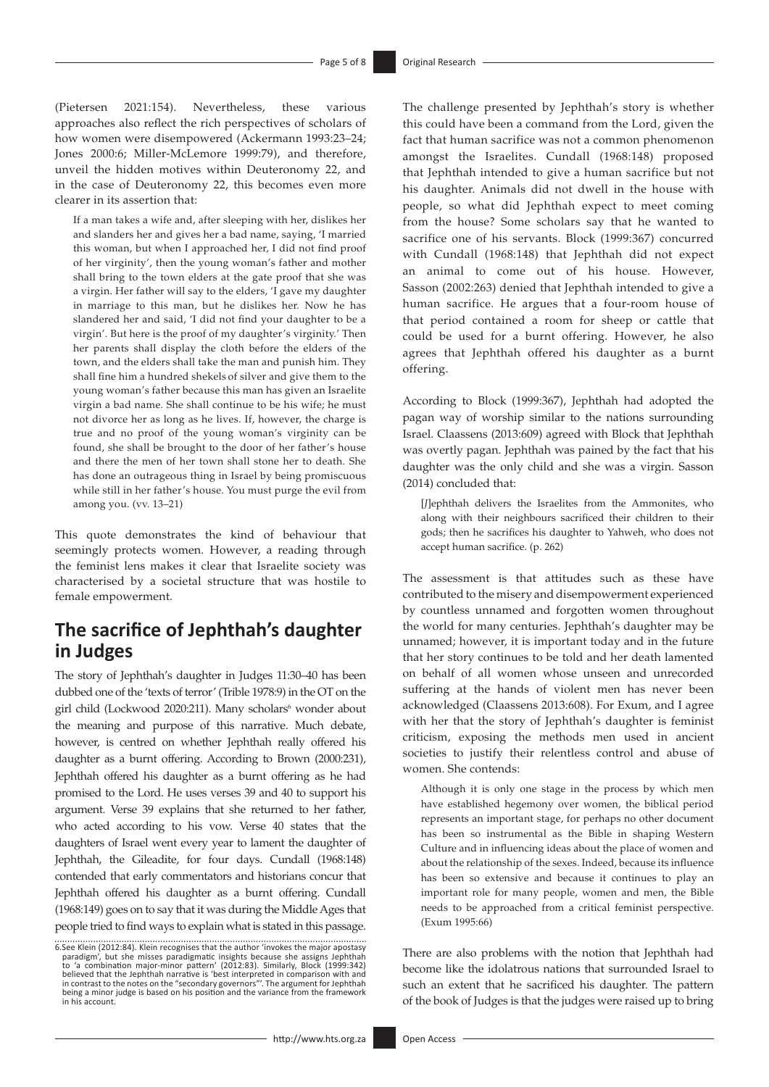(Pietersen 2021:154). Nevertheless, these various approaches also reflect the rich perspectives of scholars of how women were disempowered (Ackermann 1993:23–24; Jones 2000:6; Miller-McLemore 1999:79), and therefore, unveil the hidden motives within Deuteronomy 22, and in the case of Deuteronomy 22, this becomes even more clearer in its assertion that:

If a man takes a wife and, after sleeping with her, dislikes her and slanders her and gives her a bad name, saying, 'I married this woman, but when I approached her, I did not find proof of her virginity', then the young woman's father and mother shall bring to the town elders at the gate proof that she was a virgin. Her father will say to the elders, 'I gave my daughter in marriage to this man, but he dislikes her. Now he has slandered her and said, 'I did not find your daughter to be a virgin'. But here is the proof of my daughter's virginity.' Then her parents shall display the cloth before the elders of the town, and the elders shall take the man and punish him. They shall fine him a hundred shekels of silver and give them to the young woman's father because this man has given an Israelite virgin a bad name. She shall continue to be his wife; he must not divorce her as long as he lives. If, however, the charge is true and no proof of the young woman's virginity can be found, she shall be brought to the door of her father's house and there the men of her town shall stone her to death. She has done an outrageous thing in Israel by being promiscuous while still in her father's house. You must purge the evil from among you. (vv. 13–21)

This quote demonstrates the kind of behaviour that seemingly protects women. However, a reading through the feminist lens makes it clear that Israelite society was characterised by a societal structure that was hostile to female empowerment.

### **The sacrifice of Jephthah's daughter in Judges**

The story of Jephthah's daughter in Judges 11:30–40 has been dubbed one of the 'texts of terror' (Trible 1978:9) in the OT on the girl child (Lockwood 2020:211). Many scholars<sup>6</sup> wonder about the meaning and purpose of this narrative. Much debate, however, is centred on whether Jephthah really offered his daughter as a burnt offering. According to Brown (2000:231), Jephthah offered his daughter as a burnt offering as he had promised to the Lord. He uses verses 39 and 40 to support his argument. Verse 39 explains that she returned to her father, who acted according to his vow. Verse 40 states that the daughters of Israel went every year to lament the daughter of Jephthah, the Gileadite, for four days. Cundall (1968:148) contended that early commentators and historians concur that Jephthah offered his daughter as a burnt offering. Cundall (1968:149) goes on to say that it was during the Middle Ages that people tried to find ways to explain what is stated in this passage.

6.See Klein (2012:84). Klein recognises that the author 'invokes the major apostasy paradigm', but she misses paradigmatic insights because she assigns Jephthah to 'a combination major-minor pattern' (2012:83). Similarly, Block (1999:342)<br>believed that the Jephthah narrative is 'best interpreted in comparison with and<br>incontrast to the notes on the "secondary governors"'. The argu being a minor judge is based on his position and the variance from the framework in his account.

The challenge presented by Jephthah's story is whether this could have been a command from the Lord, given the fact that human sacrifice was not a common phenomenon amongst the Israelites. Cundall (1968:148) proposed that Jephthah intended to give a human sacrifice but not his daughter. Animals did not dwell in the house with people, so what did Jephthah expect to meet coming from the house? Some scholars say that he wanted to sacrifice one of his servants. Block (1999:367) concurred with Cundall (1968:148) that Jephthah did not expect an animal to come out of his house. However, Sasson (2002:263) denied that Jephthah intended to give a human sacrifice. He argues that a four-room house of that period contained a room for sheep or cattle that could be used for a burnt offering. However, he also agrees that Jephthah offered his daughter as a burnt offering.

According to Block (1999:367), Jephthah had adopted the pagan way of worship similar to the nations surrounding Israel. Claassens (2013:609) agreed with Block that Jephthah was overtly pagan. Jephthah was pained by the fact that his daughter was the only child and she was a virgin. Sasson (2014) concluded that:

[*J*]ephthah delivers the Israelites from the Ammonites, who along with their neighbours sacrificed their children to their gods; then he sacrifices his daughter to Yahweh, who does not accept human sacrifice. (p. 262)

The assessment is that attitudes such as these have contributed to the misery and disempowerment experienced by countless unnamed and forgotten women throughout the world for many centuries. Jephthah's daughter may be unnamed; however, it is important today and in the future that her story continues to be told and her death lamented on behalf of all women whose unseen and unrecorded suffering at the hands of violent men has never been acknowledged (Claassens 2013:608). For Exum, and I agree with her that the story of Jephthah's daughter is feminist criticism, exposing the methods men used in ancient societies to justify their relentless control and abuse of women. She contends:

Although it is only one stage in the process by which men have established hegemony over women, the biblical period represents an important stage, for perhaps no other document has been so instrumental as the Bible in shaping Western Culture and in influencing ideas about the place of women and about the relationship of the sexes. Indeed, because its influence has been so extensive and because it continues to play an important role for many people, women and men, the Bible needs to be approached from a critical feminist perspective. (Exum 1995:66)

There are also problems with the notion that Jephthah had become like the idolatrous nations that surrounded Israel to such an extent that he sacrificed his daughter. The pattern of the book of Judges is that the judges were raised up to bring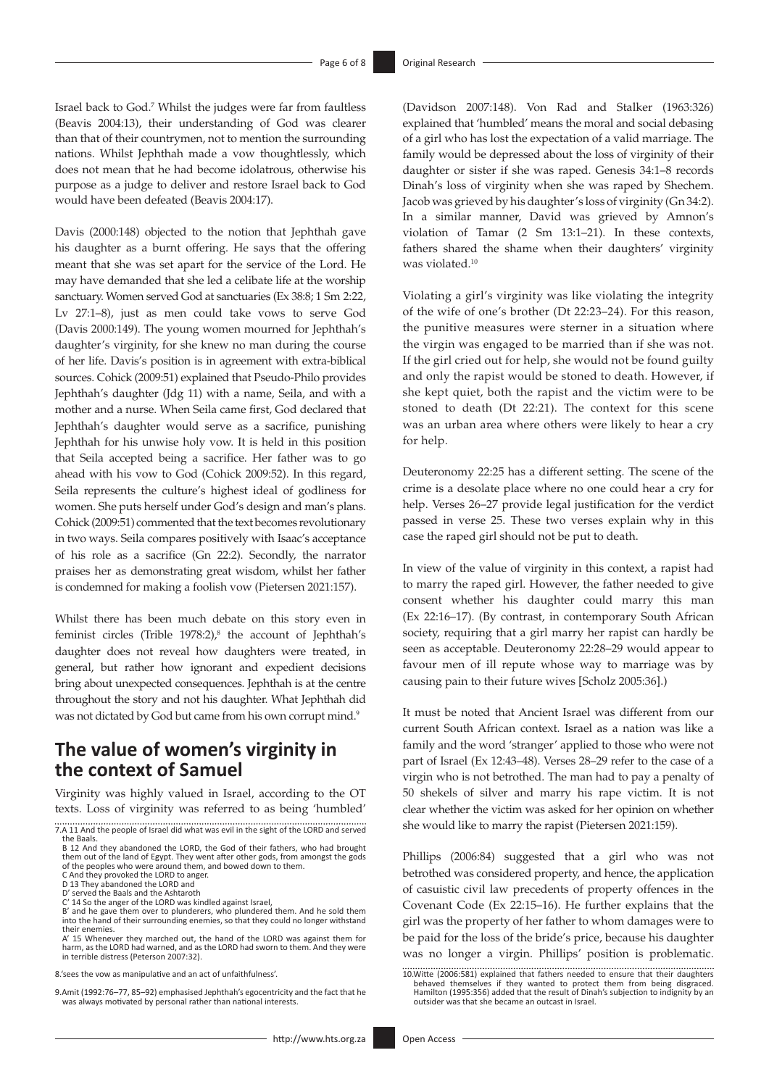Israel back to God.7 Whilst the judges were far from faultless (Beavis 2004:13), their understanding of God was clearer than that of their countrymen, not to mention the surrounding nations. Whilst Jephthah made a vow thoughtlessly, which does not mean that he had become idolatrous, otherwise his purpose as a judge to deliver and restore Israel back to God would have been defeated (Beavis 2004:17).

Davis (2000:148) objected to the notion that Jephthah gave his daughter as a burnt offering. He says that the offering meant that she was set apart for the service of the Lord. He may have demanded that she led a celibate life at the worship sanctuary. Women served God at sanctuaries (Ex 38:8; 1 Sm 2:22, Lv 27:1–8), just as men could take vows to serve God (Davis 2000:149). The young women mourned for Jephthah's daughter's virginity, for she knew no man during the course of her life. Davis's position is in agreement with extra-biblical sources. Cohick (2009:51) explained that Pseudo-Philo provides Jephthah's daughter (Jdg 11) with a name, Seila, and with a mother and a nurse. When Seila came first, God declared that Jephthah's daughter would serve as a sacrifice, punishing Jephthah for his unwise holy vow. It is held in this position that Seila accepted being a sacrifice. Her father was to go ahead with his vow to God (Cohick 2009:52). In this regard, Seila represents the culture's highest ideal of godliness for women. She puts herself under God's design and man's plans. Cohick (2009:51) commented that the text becomes revolutionary in two ways. Seila compares positively with Isaac's acceptance of his role as a sacrifice (Gn 22:2). Secondly, the narrator praises her as demonstrating great wisdom, whilst her father is condemned for making a foolish vow (Pietersen 2021:157).

Whilst there has been much debate on this story even in feminist circles (Trible  $1978:2$ ),<sup>8</sup> the account of Jephthah's daughter does not reveal how daughters were treated, in general, but rather how ignorant and expedient decisions bring about unexpected consequences. Jephthah is at the centre throughout the story and not his daughter. What Jephthah did was not dictated by God but came from his own corrupt mind.<sup>9</sup>

### **The value of women's virginity in the context of Samuel**

Virginity was highly valued in Israel, according to the OT texts. Loss of virginity was referred to as being 'humbled' (Davidson 2007:148). Von Rad and Stalker (1963:326) explained that 'humbled' means the moral and social debasing of a girl who has lost the expectation of a valid marriage. The family would be depressed about the loss of virginity of their daughter or sister if she was raped. Genesis 34:1–8 records Dinah's loss of virginity when she was raped by Shechem. Jacob was grieved by his daughter's loss of virginity (Gn 34:2). In a similar manner, David was grieved by Amnon's violation of Tamar (2 Sm 13:1–21). In these contexts, fathers shared the shame when their daughters' virginity was violated.<sup>10</sup>

Violating a girl's virginity was like violating the integrity of the wife of one's brother (Dt 22:23–24). For this reason, the punitive measures were sterner in a situation where the virgin was engaged to be married than if she was not. If the girl cried out for help, she would not be found guilty and only the rapist would be stoned to death. However, if she kept quiet, both the rapist and the victim were to be stoned to death (Dt 22:21). The context for this scene was an urban area where others were likely to hear a cry for help.

Deuteronomy 22:25 has a different setting. The scene of the crime is a desolate place where no one could hear a cry for help. Verses 26–27 provide legal justification for the verdict passed in verse 25. These two verses explain why in this case the raped girl should not be put to death.

In view of the value of virginity in this context, a rapist had to marry the raped girl. However, the father needed to give consent whether his daughter could marry this man (Ex 22:16–17). (By contrast, in contemporary South African society, requiring that a girl marry her rapist can hardly be seen as acceptable. Deuteronomy 22:28–29 would appear to favour men of ill repute whose way to marriage was by causing pain to their future wives [Scholz 2005:36].)

It must be noted that Ancient Israel was different from our current South African context. Israel as a nation was like a family and the word 'stranger' applied to those who were not part of Israel (Ex 12:43–48). Verses 28–29 refer to the case of a virgin who is not betrothed. The man had to pay a penalty of 50 shekels of silver and marry his rape victim. It is not clear whether the victim was asked for her opinion on whether she would like to marry the rapist (Pietersen 2021:159).

Phillips (2006:84) suggested that a girl who was not betrothed was considered property, and hence, the application of casuistic civil law precedents of property offences in the Covenant Code (Ex 22:15–16). He further explains that the girl was the property of her father to whom damages were to be paid for the loss of the bride's price, because his daughter was no longer a virgin. Phillips' position is problematic.

<sup>7.</sup>A 11 And the people of Israel did what was evil in the sight of the LORD and served the Baals.

B 12 And they abandoned the LORD, the God of their fathers, who had brought them out of the land of Egypt. They went after other gods, from amongst the gods of the peoples who were around them, and bowed down to them.

C And they provoked the LORD to anger. D 13 They abandoned the LORD and

D' served the Baals and the Ashtaroth C' 14 So the anger of the LORD was kindled against Israel,

B' and he gave them over to plunderers, who plundered them. And he sold them into the hand of their surrounding enemies, so that they could no longer withstand their enemies.

A' 15 Whenever they marched out, the hand of the LORD was against them for harm, as the LORD had warned, and as the LORD had sworn to them. And they were in terrible distress (Peterson 2007:32).

<sup>8.&#</sup>x27;sees the vow as manipulative and an act of unfaithfulness'.

<sup>9.</sup>Amit (1992:76–77, 85–92) emphasised Jephthah's egocentricity and the fact that he was always motivated by personal rather than national interests.

<sup>10.</sup>Witte (2006:581) explained that fathers needed to ensure that their daughters behaved themselves if they wanted to protect them from being disgraced. Hamilton (1995:356) added that the result of Dinah's subjection to indignity by an outsider was that she became an outcast in Israel.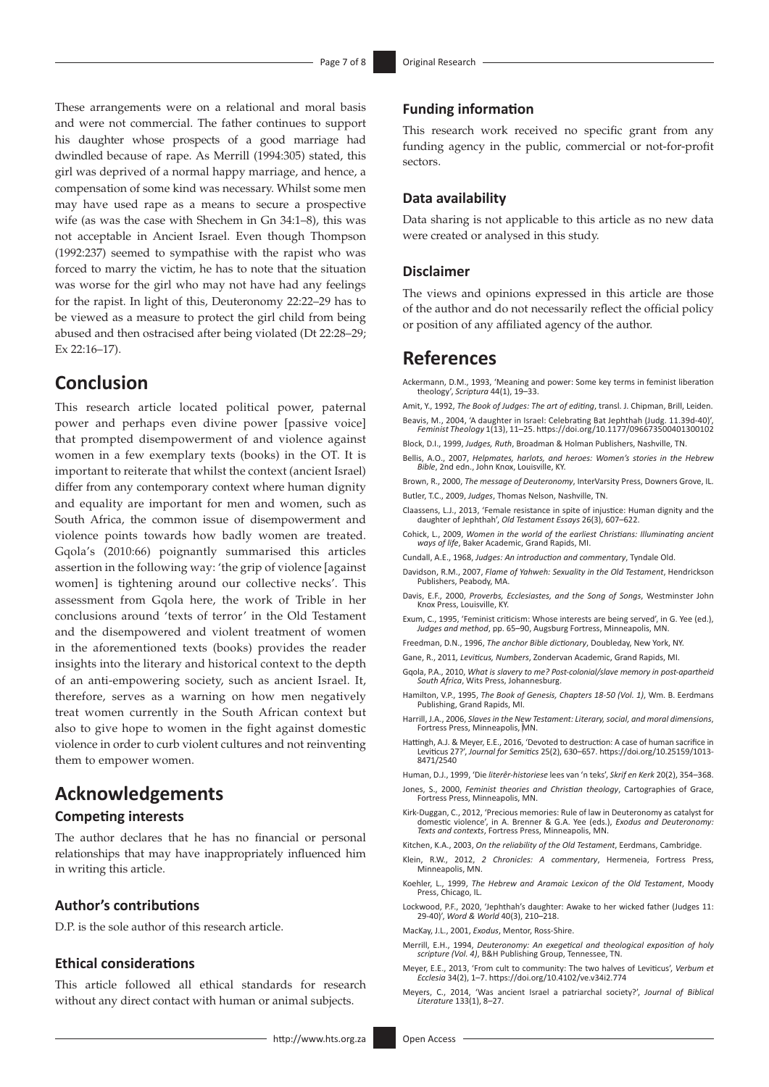These arrangements were on a relational and moral basis and were not commercial. The father continues to support his daughter whose prospects of a good marriage had dwindled because of rape. As Merrill (1994:305) stated, this girl was deprived of a normal happy marriage, and hence, a compensation of some kind was necessary. Whilst some men may have used rape as a means to secure a prospective wife (as was the case with Shechem in Gn 34:1–8), this was not acceptable in Ancient Israel. Even though Thompson (1992:237) seemed to sympathise with the rapist who was forced to marry the victim, he has to note that the situation was worse for the girl who may not have had any feelings for the rapist. In light of this, Deuteronomy 22:22–29 has to be viewed as a measure to protect the girl child from being abused and then ostracised after being violated (Dt 22:28–29; Ex 22:16–17).

### **Conclusion**

This research article located political power, paternal power and perhaps even divine power [passive voice] that prompted disempowerment of and violence against women in a few exemplary texts (books) in the OT. It is important to reiterate that whilst the context (ancient Israel) differ from any contemporary context where human dignity and equality are important for men and women, such as South Africa, the common issue of disempowerment and violence points towards how badly women are treated. Gqola's (2010:66) poignantly summarised this articles assertion in the following way: 'the grip of violence [against women] is tightening around our collective necks'. This assessment from Gqola here, the work of Trible in her conclusions around 'texts of terror' in the Old Testament and the disempowered and violent treatment of women in the aforementioned texts (books) provides the reader insights into the literary and historical context to the depth of an anti-empowering society, such as ancient Israel. It, therefore, serves as a warning on how men negatively treat women currently in the South African context but also to give hope to women in the fight against domestic violence in order to curb violent cultures and not reinventing them to empower women.

# **Acknowledgements**

### **Competing interests**

The author declares that he has no financial or personal relationships that may have inappropriately influenced him in writing this article.

#### **Author's contributions**

D.P. is the sole author of this research article.

#### **Ethical considerations**

This article followed all ethical standards for research without any direct contact with human or animal subjects.

#### **Funding information**

This research work received no specific grant from any funding agency in the public, commercial or not-for-profit sectors.

#### **Data availability**

Data sharing is not applicable to this article as no new data were created or analysed in this study.

#### **Disclaimer**

The views and opinions expressed in this article are those of the author and do not necessarily reflect the official policy or position of any affiliated agency of the author.

### **References**

Ackermann, D.M., 1993, 'Meaning and power: Some key terms in feminist liberation theology', *Scriptura* 44(1), 19–33.

Amit, Y., 1992, *The Book of Judges: The art of editing*, transl. J. Chipman, Brill, Leiden. Beavis, M., 2004, 'A daughter in Israel: Celebrating Bat Jephthah (Judg. 11.39d-40)', *Feminist Theology* 1(13), 11–25. <https://doi.org/10.1177/096673500401300102>

Block, D.I., 1999, *Judges, Ruth*, Broadman & Holman Publishers, Nashville, TN.

Bellis, A.O., 2007, *Helpmates, harlots, and heroes: Women's stories in the Hebrew Bible*, 2nd edn., John Knox, Louisville, KY.

Brown, R., 2000, *The message of Deuteronomy*, InterVarsity Press, Downers Grove, IL. Butler, T.C., 2009, *Judges*, Thomas Nelson, Nashville, TN.

- Claassens, L.J., 2013, 'Female resistance in spite of injustice: Human dignity and the daughter of Jephthah', *Old Testament Essays* 26(3), 607–622.
- Cohick, L., 2009, *Women in the world of the earliest Christians: Illuminating ancient ways of life*, Baker Academic, Grand Rapids, MI.
- Cundall, A.E., 1968, *Judges: An introduction and commentary*, Tyndale Old.
- Davidson, R.M., 2007, *Flame of Yahweh: Sexuality in the Old Testament*, Hendrickson Publishers, Peabody, MA.
- Davis, E.F., 2000, *Proverbs, Ecclesiastes, and the Song of Songs*, Westminster John Knox Press, Louisville, KY.
- Exum, C., 1995, 'Feminist criticism: Whose interests are being served', in G. Yee (ed.), *Judges and method*, pp. 65–90, Augsburg Fortress, Minneapolis, MN.
- Freedman, D.N., 1996, *The anchor Bible dictionary*, Doubleday, New York, NY.
- Gane, R., 2011*, Leviticus, Numbers*, Zondervan Academic, Grand Rapids, MI.
- Gqola, P.A., 2010, *What is slavery to me? Post-colonial/slave memory in post-apartheid South Africa*, Wits Press, Johannesburg.
- Hamilton, V.P., 1995, *The Book of Genesis, Chapters 18-50 (Vol. 1)*, Wm. B. Eerdmans Publishing, Grand Rapids, MI.
- Harrill, J.A., 2006, *Slaves in the New Testament: Literary, social, and moral dimensions*, Fortress Press, Minneapolis, MN.
- Hattingh, A.J. & Meyer, E.E., 2016, 'Devoted to destruction: A case of human sacrifice in Leviticus 27?', *Journal for Semitics* 25(2), 630–657. [https://doi.org/10.25159/1013-](https://doi.org/10.25159/1013-8471/2540) [8471/2540](https://doi.org/10.25159/1013-8471/2540)
- Human, D.J., 1999, 'Die *literêr-historiese* lees van 'n teks', *Skrif en Kerk* 20(2), 354–368.
- Jones, S., 2000, *Feminist theories and Christian theology*, Cartographies of Grace, Fortress Press, Minneapolis, MN.
- Kirk-Duggan, C., 2012, 'Precious memories: Rule of law in Deuteronomy as catalyst for domestic violence', in A. Brenner & G.A. Yee (eds.), *Exodus and Deuteronomy: Texts and contexts*, Fortress Press, Minneapolis, MN.
- Kitchen, K.A., 2003, *On the reliability of the Old Testament*, Eerdmans, Cambridge.
- Klein, R.W., 2012, *2 Chronicles: A commentary*, Hermeneia, Fortress Press, Minneapolis, MN.
- Koehler, L., 1999, *The Hebrew and Aramaic Lexicon of the Old Testament*, Moody Press, Chicago, IL.
- Lockwood, P.F., 2020, 'Jephthah's daughter: Awake to her wicked father (Judges 11: 29-40)', *Word & World* 40(3), 210–218.
- MacKay, J.L., 2001, *Exodus*, Mentor, Ross-Shire.
- Merrill, E.H., 1994, *Deuteronomy: An exegetical and theological exposition of holy scripture (Vol. 4)*, B&H Publishing Group, Tennessee, TN.
- Meyer, E.E., 2013, 'From cult to community: The two halves of Leviticus', *Verbum et Ecclesia* 34(2), 1–7. <https://doi.org/10.4102/ve.v34i2.774>
- Meyers, C., 2014, 'Was ancient Israel a patriarchal society?', *Journal of Biblical Literature* 133(1), 8–27.